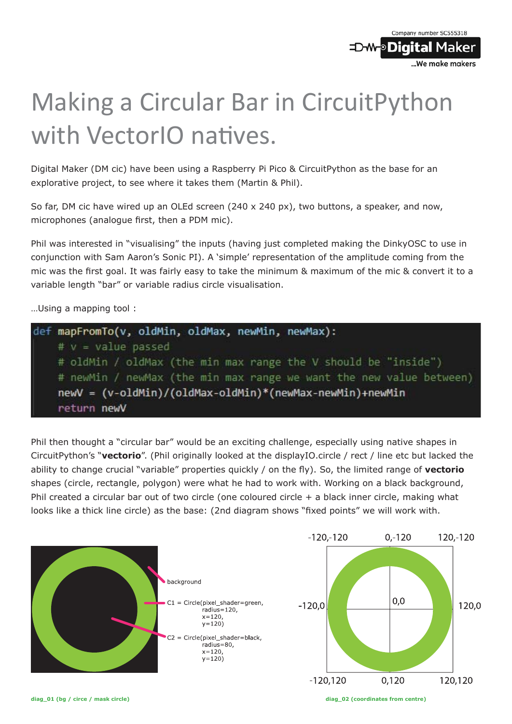

## Making a Circular Bar in CircuitPython with VectorIO natives.

Digital Maker (DM cic) have been using a Raspberry Pi Pico & CircuitPython as the base for an explorative project, to see where it takes them (Martin & Phil).

So far, DM cic have wired up an OLEd screen (240 x 240 px), two buttons, a speaker, and now, microphones (analogue first, then a PDM mic).

Phil was interested in "visualising" the inputs (having just completed making the DinkyOSC to use in conjunction with Sam Aaron's Sonic PI). A 'simple' representation of the amplitude coming from the mic was the first goal. It was fairly easy to take the minimum & maximum of the mic & convert it to a variable length "bar" or variable radius circle visualisation.

…Using a mapping tool :



Phil then thought a "circular bar" would be an exciting challenge, especially using native shapes in CircuitPython's "**vectorio**". (Phil originally looked at the displayIO.circle / rect / line etc but lacked the ability to change crucial "variable" properties quickly / on the fly). So, the limited range of **vectorio** shapes (circle, rectangle, polygon) were what he had to work with. Working on a black background, Phil created a circular bar out of two circle (one coloured circle + a black inner circle, making what looks like a thick line circle) as the base: (2nd diagram shows "fixed points" we will work with.

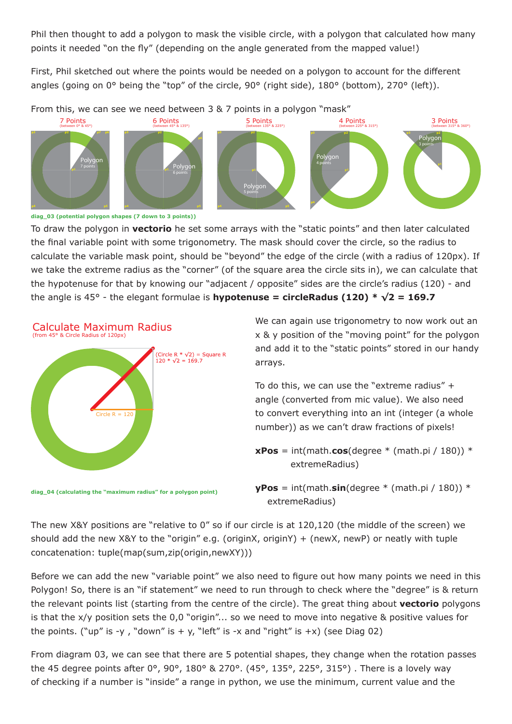Phil then thought to add a polygon to mask the visible circle, with a polygon that calculated how many points it needed "on the fly" (depending on the angle generated from the mapped value!)

First, Phil sketched out where the points would be needed on a polygon to account for the different angles (going on 0° being the "top" of the circle, 90° (right side), 180° (bottom), 270° (left)).



**diag\_03 (potential polygon shapes (7 down to 3 points))**

To draw the polygon in **vectorio** he set some arrays with the "static points" and then later calculated the final variable point with some trigonometry. The mask should cover the circle, so the radius to calculate the variable mask point, should be "beyond" the edge of the circle (with a radius of 120px). If we take the extreme radius as the "corner" (of the square area the circle sits in), we can calculate that the hypotenuse for that by knowing our "adjacent / opposite" sides are the circle's radius (120) - and the angle is 45° - the elegant formulae is **hypotenuse = circleRadus (120) \* √2 = 169.7**



**diag\_04 (calculating the "maximum radius" for a polygon point)**

We can again use trigonometry to now work out an x & y position of the "moving point" for the polygon and add it to the "static points" stored in our handy arrays.

To do this, we can use the "extreme radius" + angle (converted from mic value). We also need to convert everything into an int (integer (a whole number)) as we can't draw fractions of pixels!

 $xPos = int(math.cos(degree * (math.pl / 180))^*$ extremeRadius)

 $yPos = int(math.sin(degree * (math.p) / 180))$  \* extremeRadius)

The new X&Y positions are "relative to 0" so if our circle is at 120,120 (the middle of the screen) we should add the new X&Y to the "origin" e.g. (originX, originY) + (newX, newP) or neatly with tuple concatenation: tuple(map(sum,zip(origin,newXY)))

Before we can add the new "variable point" we also need to figure out how many points we need in this Polygon! So, there is an "if statement" we need to run through to check where the "degree" is & return the relevant points list (starting from the centre of the circle). The great thing about **vectorio** polygons is that the x/y position sets the 0,0 "origin"... so we need to move into negative & positive values for the points. ("up" is -y, "down" is + y, "left" is -x and "right" is +x) (see Diag 02)

From diagram 03, we can see that there are 5 potential shapes, they change when the rotation passes the 45 degree points after 0°, 90°, 180° & 270°. (45°, 135°, 225°, 315°) . There is a lovely way of checking if a number is "inside" a range in python, we use the minimum, current value and the

Calculate Maximum Radius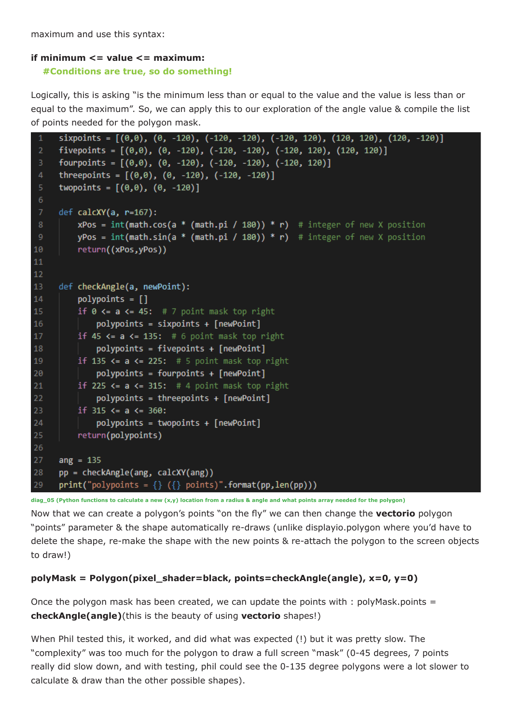maximum and use this syntax:

## **if minimum <= value <= maximum:**

 **#Conditions are true, so do something!**

Logically, this is asking "is the minimum less than or equal to the value and the value is less than or equal to the maximum". So, we can apply this to our exploration of the angle value & compile the list of points needed for the polygon mask.

```
sixpoints = [(0,0), (0, -120), (-120, -120), (-120, 120), (120, 120), (120, -120)]fivepoints = [(0,0), (0, -120), (-120, -120), (-120, 120), (120, 120)]fourpoints = [(0,0), (0, -120), (-120, -120), (-120, 120)]threepoints = [(0,0), (0, -120), (-120, -120)]twopoints = [(0,0), (0, -120)]def calcXY(a, r=167):
         xPos = int(math.cos(a * (math, pi / 180)) * r) # integer of new X positionyPos = int(math.sin(a * (math.pi / 180)) * r) # integer of new X position
10return((xPos,yPos))
111213
     def checkAngle(a, newPoint):
          polynomials = []14
15
          if \theta <= a <= 45: # 7 point mask top right
              polypoints = sixpoints + [newPoint]
16
17\,if 45 \leftarrow a \leftarrow 135: # 6 point mask top right
              polypoints = fivepoints + [newPoint]
18
19
          if 135 \leftarrow a \leftarrow 225: # 5 point mask top right
20
              polynomials = fourpoints + [newPoint]21
          if 225 \leftarrow a \leftarrow 315: # 4 point mask top right
22
              polynomials = three points + [newPoint]23
          if 315 \le a \le 360:
24
              polynomials = two points + [newPoint]25
          return(polypoints)
26
27
     ang = 135pp = checkAngle(ang, calcXY(ang))
28
      print("polynomials = {} {\} ({} \nbrace ; points)".format(pp, len(p))29
```
**diag\_05 (Python functions to calculate a new (x,y) location from a radius & angle and what points array needed for the polygon)**

Now that we can create a polygon's points "on the fly" we can then change the **vectorio** polygon "points" parameter & the shape automatically re-draws (unlike displayio.polygon where you'd have to delete the shape, re-make the shape with the new points & re-attach the polygon to the screen objects to draw!)

## **polyMask = Polygon(pixel\_shader=black, points=checkAngle(angle), x=0, y=0)**

Once the polygon mask has been created, we can update the points with : polyMask.points  $=$ **checkAngle(angle)**(this is the beauty of using **vectorio** shapes!)

When Phil tested this, it worked, and did what was expected (!) but it was pretty slow. The "complexity" was too much for the polygon to draw a full screen "mask" (0-45 degrees, 7 points really did slow down, and with testing, phil could see the 0-135 degree polygons were a lot slower to calculate & draw than the other possible shapes).